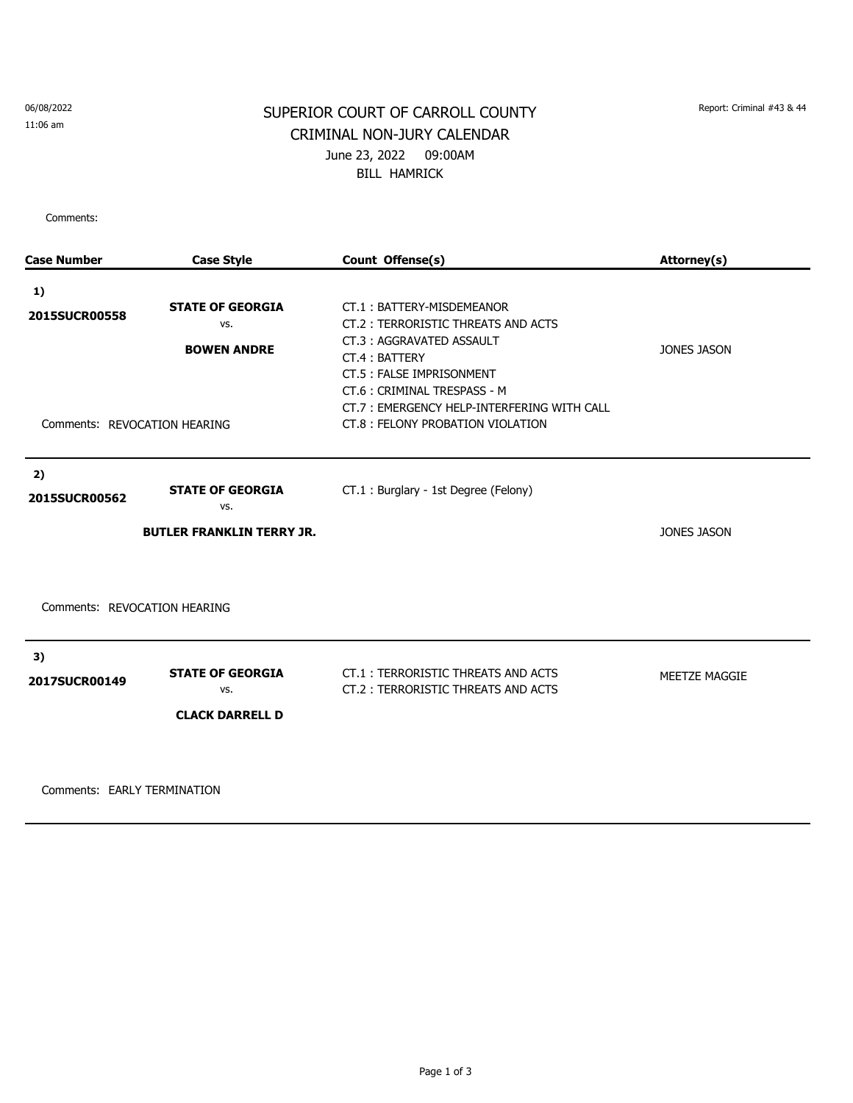06/08/2022 11:06 am

## SUPERIOR COURT OF CARROLL COUNTY Report: Criminal #43 & 44 CRIMINAL NON-JURY CALENDAR June 23, 2022 09:00AM BILL HAMRICK

Comments:

| <b>Case Number</b>           | <b>Case Style</b>                | Count Offense(s)                                                                                                                                                                        | Attorney(s)        |
|------------------------------|----------------------------------|-----------------------------------------------------------------------------------------------------------------------------------------------------------------------------------------|--------------------|
| 1)                           |                                  |                                                                                                                                                                                         |                    |
| 2015SUCR00558                | <b>STATE OF GEORGIA</b><br>VS.   | CT.1: BATTERY-MISDEMEANOR<br>CT.2: TERRORISTIC THREATS AND ACTS                                                                                                                         |                    |
| Comments: REVOCATION HEARING | <b>BOWEN ANDRE</b>               | CT.3: AGGRAVATED ASSAULT<br>CT.4: BATTERY<br>CT.5: FALSE IMPRISONMENT<br>CT.6: CRIMINAL TRESPASS - M<br>CT.7: EMERGENCY HELP-INTERFERING WITH CALL<br>CT.8 : FELONY PROBATION VIOLATION | <b>JONES JASON</b> |
|                              |                                  |                                                                                                                                                                                         |                    |
| 2)<br>2015SUCR00562          | <b>STATE OF GEORGIA</b><br>VS.   | CT.1: Burglary - 1st Degree (Felony)                                                                                                                                                    |                    |
|                              | <b>BUTLER FRANKLIN TERRY JR.</b> |                                                                                                                                                                                         | <b>JONES JASON</b> |
| Comments: REVOCATION HEARING |                                  |                                                                                                                                                                                         |                    |
| 3)<br>2017SUCR00149          | <b>STATE OF GEORGIA</b><br>VS.   | CT.1: TERRORISTIC THREATS AND ACTS<br>CT.2: TERRORISTIC THREATS AND ACTS                                                                                                                | MEETZE MAGGIE      |
|                              | <b>CLACK DARRELL D</b>           |                                                                                                                                                                                         |                    |
|                              |                                  |                                                                                                                                                                                         |                    |
|                              |                                  |                                                                                                                                                                                         |                    |

Comments: EARLY TERMINATION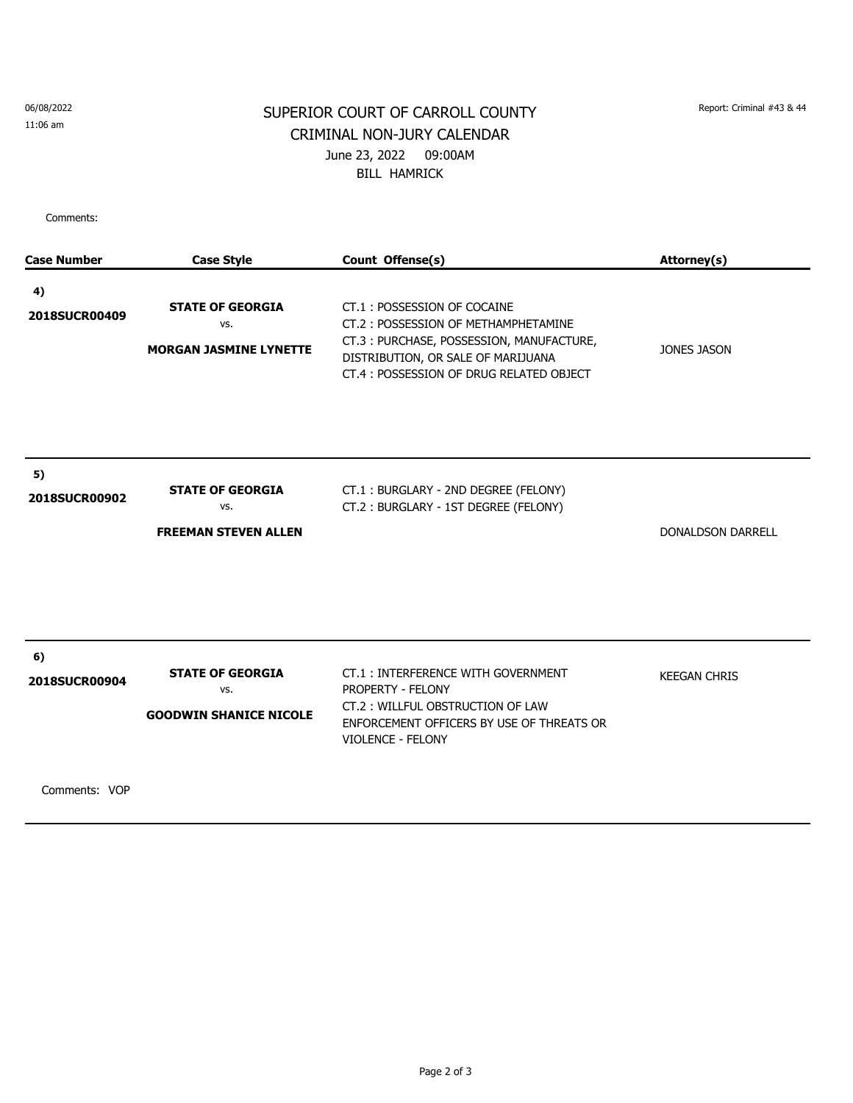## 06/08/2022

11:06 am

## SUPERIOR COURT OF CARROLL COUNTY Report: Criminal #43 & 44 CRIMINAL NON-JURY CALENDAR June 23, 2022 09:00AM BILL HAMRICK

Comments:

| <b>Case Number</b>  | <b>Case Style</b>                                               | Count Offense(s)                                                                                                                                                                                | Attorney(s)              |
|---------------------|-----------------------------------------------------------------|-------------------------------------------------------------------------------------------------------------------------------------------------------------------------------------------------|--------------------------|
| 4)<br>2018SUCR00409 | <b>STATE OF GEORGIA</b><br>VS.<br><b>MORGAN JASMINE LYNETTE</b> | CT.1: POSSESSION OF COCAINE<br>CT.2: POSSESSION OF METHAMPHETAMINE<br>CT.3: PURCHASE, POSSESSION, MANUFACTURE,<br>DISTRIBUTION, OR SALE OF MARIJUANA<br>CT.4: POSSESSION OF DRUG RELATED OBJECT | <b>JONES JASON</b>       |
| 5)<br>2018SUCR00902 | <b>STATE OF GEORGIA</b><br>VS.<br><b>FREEMAN STEVEN ALLEN</b>   | CT.1: BURGLARY - 2ND DEGREE (FELONY)<br>CT.2: BURGLARY - 1ST DEGREE (FELONY)                                                                                                                    | <b>DONALDSON DARRELL</b> |
| 6)<br>2018SUCR00904 | <b>STATE OF GEORGIA</b><br>VS.<br><b>GOODWIN SHANICE NICOLE</b> | CT.1: INTERFERENCE WITH GOVERNMENT<br>PROPERTY - FELONY<br>CT.2: WILLFUL OBSTRUCTION OF LAW<br>ENFORCEMENT OFFICERS BY USE OF THREATS OR<br><b>VIOLENCE - FELONY</b>                            | <b>KEEGAN CHRIS</b>      |

Comments: VOP